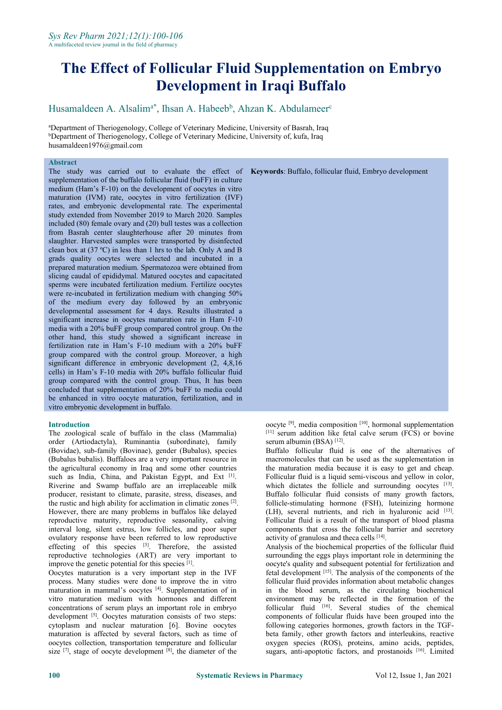Husamaldeen A. Alsalim<sup>a\*</sup>, Ihsan A. Habeeb<sup>b</sup>, Ahzan K. Abdulameer<sup>c</sup> c and the contract of the contract of the contract of the contract of the contract of the contract of the contract of the contract of the contract of the contract of the contract of the contract of the contract of the cont

<sup>a</sup>Department of Theriogenology, College of Veterinary Medicine, University of Basrah, Iraq **bDepartment of Theriogenology, College of Veterinary Medicine, University of, kufa, Iraq** husamaldeen1976@gmail.com

## **Abstract**

The study was carried out to evaluate the effect of **Keywords**: Buffalo, follicular fluid, Embryo development supplementation of the buffalo follicular fluid (buFF) in culture medium (Ham's F-10) on the development of oocytes in vitro maturation (IVM) rate, oocytes in vitro fertilization (IVF) rates, and embryonic developmental rate. The experimental study extended from November 2019 to March 2020. Samples included (80) female ovary and (20) bull testes was a collection from Basrah center slaughterhouse after 20 minutes from slaughter. Harvested samples were transported by disinfected clean box at (37 ºC) in less than 1 hrs to the lab. Only A and B grads quality oocytes were selected and incubated in a prepared maturation medium. Spermatozoa were obtained from slicing caudal of epididymal. Matured oocytes and capacitated sperms were incubated fertilization medium. Fertilize oocytes were re-incubated in fertilization medium with changing 50% of the medium every day followed by an embryonic developmental assessment for 4 days. Results illustrated a significant increase in oocytes maturation rate in Ham F-10 media with a 20% buFF group compared control group. On the other hand, this study showed a significant increase in fertilization rate in Ham's F-10 medium with a 20% buFF group compared with the control group. Moreover, a high significant difference in embryonic development (2, 4,8,16 cells) in Ham's F-10 media with 20% buffalo follicular fluid group compared with the control group. Thus, It has been concluded that supplementation of 20% buFF to media could be enhanced in vitro oocyte maturation, fertilization, and in vitro embryonic development in buffalo.

## **Introduction**

The zoological scale of buffalo in the class (Mammalia) order (Artiodactyla), Ruminantia (subordinate), family (Bovidae), sub-family (Bovinae), gender (Bubalus), species (Bubalus bubalis). Buffaloes are a very important resource in the agricultural economy in Iraq and some other countries such as India, China, and Pakistan Egypt, and Ext <a>[1]</a>. Folli Riverine and Swamp buffalo are an irreplaceable milk producer, resistant to climate, parasite, stress, diseases, and the rustic and high ability for acclimation in climatic zones [2]. However, there are many problems in buffalos like delayed reproductive maturity, reproductive seasonality, calving interval long, silent estrus, low follicles, and poor super ovulatory response have been referred to low reproductive effecting of this species [3]. Therefore, the assisted Analysis of the reproductive technologies (ART) are very important to improve the genetic potential for this species [1].

Oocytes maturation is a very important step in the IVF process. Many studies were done to improve the in vitro maturation in mammal's oocytes [4]. Supplementation of in in the bloo vitro maturation medium with hormones and different concentrations of serum plays an important role in embryo development <sup>[5]</sup>. Oocytes maturation consists of two steps: compor cytoplasm and nuclear maturation [6]. Bovine oocytes maturation is affected by several factors, such as time of oocytes collection, transportation temperature and follicular size  $[7]$ , stage of oocyte development  $[8]$ , the diameter of the sugars, ant

oocyte <sup>[9]</sup>, media composition <sup>[10]</sup>, hormonal supplementation  $[11]$  serum addition like fetal calve serum (FCS) or bovine serum albumin (BSA) [12].

Buffalo follicular fluid is one of the alternatives of macromolecules that can be used as the supplementation in the maturation media because it is easy to get and cheap. Follicular fluid is a liquid semi-viscous and yellow in color, which dictates the follicle and surrounding oocytes [13]. Buffalo follicular fluid consists of many growth factors, follicle-stimulating hormone (FSH), luteinizing hormone (LH), several nutrients, and rich in hyaluronic acid [13]. Follicular fluid is a result of the transport of blood plasma components that cross the follicular barrier and secretory activity of granulosa and theca cells [14].

Analysis of the biochemical properties of the follicular fluid surrounding the eggs plays important role in determining the oocyte's quality and subsequent potential for fertilization and fetal development [15]. The analysis of the components of the follicular fluid provides information about metabolic changes in the blood serum, as the circulating biochemical environment may be reflected in the formation of the follicular fluid [16]. Several studies of the chemical components of follicular fluids have been grouped into the following categories hormones, growth factors in the TGF beta family, other growth factors and interleukins, reactive oxygen species (ROS), proteins, amino acids, peptides, sugars, anti-apoptotic factors, and prostanoids [16]. Limited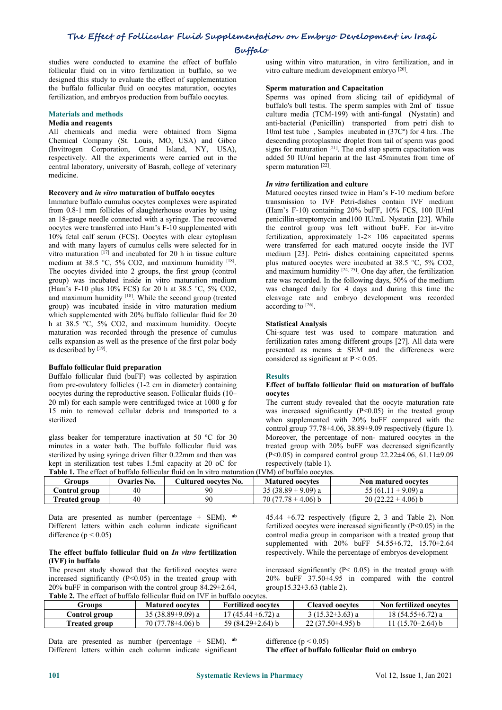#### **Buffalo**

studies were conducted to examine the effect of buffalo follicular fluid on in vitro fertilization in buffalo, so we designed this study to evaluate the effect of supplementation the buffalo follicular fluid on oocytes maturation, oocytes fertilization, and embryos production from buffalo oocytes.

#### **Materials and methods**

#### **Media and reagents**

All chemicals and media were obtained from Sigma Chemical Company (St. Louis, MO, USA) and Gibco (Invitrogen Corporation, Grand Island, NY, USA), respectively. All the experiments were carried out in the central laboratory, university of Basrah, college of veterinary medicine.

#### **Recovery and** *in vitro* **maturation of buffalo oocytes**

Immature buffalo cumulus oocytes complexes were aspirated from 0.8-1 mm follicles of slaughterhouse ovaries by using an 18-gauge needle connected with a syringe. The recovered oocytes were transferred into Ham's F-10 supplemented with 10% fetal calf serum (FCS). Oocytes with clear cytoplasm and with many layers of cumulus cells were selected for in vitro maturation [17] and incubated for 20 h in tissue culture medium [2] medium at 38.5 °C, 5% CO2, and maximum humidity <sup>[18]</sup>. plus matured The oocytes divided into 2 groups, the first group (control group) was incubated inside in vitro maturation medium (Ham's F-10 plus 10% FCS) for 20 h at 38.5 °C, 5% CO2, and maximum humidity <sup>[18]</sup>. While the second group (treated cleavage rate group) was incubated inside in vitro maturation medium which supplemented with 20% buffalo follicular fluid for 20 h at 38.5 °C, 5% CO2, and maximum humidity. Oocyte maturation was recorded through the presence of cumulus cells expansion as well as the presence of the first polar body as described by  $[19]$ .

## **Buffalo follicular fluid preparation**

Buffalo follicular fluid (buFF) was collected by aspiration from pre-ovulatory follicles (1-2 cm in diameter) containing oocytes during the reproductive season. Follicular fluids (10– 20 ml) for each sample were centrifuged twice at  $1000 \text{ g}$  for 15 min to removed cellular debris and transported to a sterilized

glass beaker for temperature inactivation at 50 °C for 30 minutes in a water bath. The buffalo follicular fluid was sterilized by using syringe driven filter 0.22mm and then was kept in sterilization test tubes 1.5ml capacity at 20 oC for respectively<br>Table 1. The effect of huffels folliqular fluid on In vitro maturation (IVM) of huffels **hle<sup>1</sup>** The effect of buffalo follicular fluid

using within vitro maturation, in vitro fertilization, and in vitro culture medium development embryo [20].

## **Sperm maturation and Capacitation**

Sperms was opined from slicing tail of epididymal of buffalo's bull testis. The sperm samples with 2ml of tissue culture media (TCM-199) with anti-fungal (Nystatin) and anti-bacterial (Penicillin) transported from petri dish to 10ml test tube , Samples incubated in (37Cº) for 4 hrs. .The descending protoplasmic droplet from tail of sperm was good signs for maturation <sup>[21]</sup>. The end step sperm capacitation was added 50 IU/ml heparin at the last 45minutes from time of sperm maturation <sup>[22]</sup>.

#### *In vitro* **fertilization and culture**

Matured oocytes rinsed twice in Ham's F-10 medium before transmission to IVF Petri-dishes contain IVF medium (Ham's F-10) containing 20% buFF, 10% FCS, 100 IU/ml penicillin-streptomycin and100 IU/mL Nystatin [23]. While the control group was leftwithout buFF. For in-vitro fertilization, approximately  $1-2 \times 106$  capacitated sperms were transferred for each matured oocyte inside the IVF medium [23]. Petri- dishes containing capacitated sperms plus matured oocytes were incubated at 38.5 °C, 5% CO2, and maximum humidity  $[24, 25]$ . One day after, the fertilization rate was recorded. In the following days, 50% of the medium was changed daily for 4 days and during this time the cleavage rate and embryo development was recorded according to  $^{[26]}$ .

#### **Statistical Analysis**

Chi-square test was used to compare maturation and fertilization rates among different groups [27]. All data were presented as means  $\pm$  SEM and the differences were considered as significant at  $P < 0.05$ .

#### **Results**

#### **Effect of buffalo follicular fluid on maturation of buffalo oocytes**

The current study revealed that the oocyte maturation rate was increased significantly  $(P<0.05)$  in the treated group when supplemented with 20% buFF compared with the control group 77.78±4.06, 38.89±9.09 respectively (figure 1). Moreover, the percentage of non- matured oocytes in the treated group with 20% buFF was decreased significantly (P<0.05) in compared control group 22.22±4.06, 61.11±9.09 respectively (table 1).

| <b>Table 1.</b> The effect of building follicular fluid on in vitro maturation (TV M) of building occytes. |                    |                      |                         |                            |  |  |  |  |
|------------------------------------------------------------------------------------------------------------|--------------------|----------------------|-------------------------|----------------------------|--|--|--|--|
| Froups                                                                                                     | <b>Ovaries No.</b> | Cultured oocvtes No. | <b>Matured oocytes</b>  | <b>Non matured oocytes</b> |  |  |  |  |
| Control group                                                                                              | 40                 |                      | 35 (38.89 $\pm$ 9.09) a | 55 (61.11 $\pm$ 9.09) a    |  |  |  |  |
| <b>Treated group</b>                                                                                       | 40                 | 90                   | $70(77.78 \pm 4.06)$ b  | $20(22.22 \pm 4.06)$ b     |  |  |  |  |

Data are presented as number (percentage ± SEM). **ab** Different letters within each column indicate significant difference ( $p < 0.05$ )

#### **The effect buffalo follicular fluid on** *In vitro* **fertilization (IVF) in buffalo**

The present study showed that the fertilized oocytes were increased significantly  $(P<0.05)$  in the treated group with  $20\%$  buFF in comparison with the control group  $84.29\pm2.64$ . Table 2. The effect of buffalo follicular fluid on IVF in buffalo oocytes

45.44  $\pm$ 6.72 respectively (figure 2, 3 and Table 2). Non fertilized oocytes were increased significantly (P<0.05) in the control media group in comparison with a treated group that supplemented with 20% buFF 54.55±6.72, 15.70±2.64 respectively. While the percentage of embryos development

increased significantly (P< 0.05) in the treated group with 20% buFF 37.50±4.95 in compared with the control group15.32±3.63 (table 2).

| THEIR THE CHARGE OF CALLAND TONIGHTHE NAME ON THE HE CALLAND OUR HOUR |                        |                           |                        |                        |  |  |  |  |  |  |
|-----------------------------------------------------------------------|------------------------|---------------------------|------------------------|------------------------|--|--|--|--|--|--|
| Groups                                                                | <b>Matured oocytes</b> | <b>Fertilized oocytes</b> | <b>Cleaved oocvtes</b> | Non fertilized oocytes |  |  |  |  |  |  |
| Control group                                                         | 35 $(38.89\pm9.09)$ a  | $17(45.44 \pm 6.72)$ a    | $(15.32 \pm 3.63)$ a   | $18(54.55 \pm 6.72)$ a |  |  |  |  |  |  |
| <b>Treated group</b>                                                  | 70 (77.78±4.06) b      | 59 (84.29±2.64) b         | $22(37.50\pm4.95)$ b   | $1(15.70\pm2.64)$ b    |  |  |  |  |  |  |

Data are presented as number (percentage  $\pm$  SEM).  $^{ab}$ Different letters within each column indicate significant

difference  $(p < 0.05)$ **The effect of buffalo follicular fluid on embryo**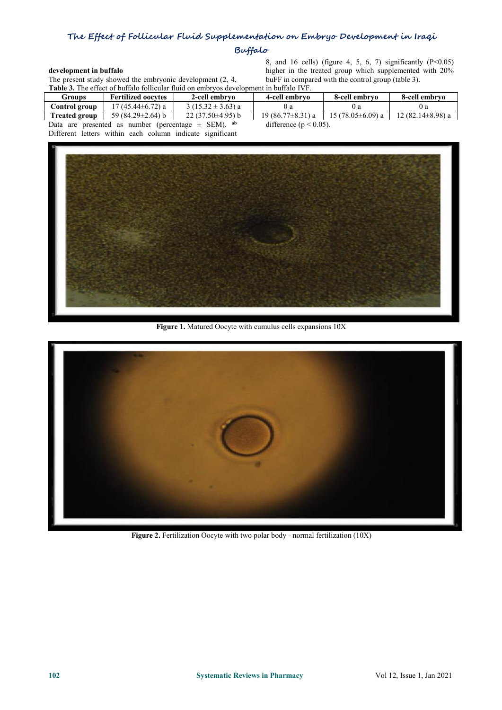## **Buffalo**

#### **development in buffalo**

**Table 3.** The effect of buffalo follicular fluid on embryos development in buffalo IVF.

development in buffalo<br>  $\mu$  and 16 cells) (figure 4, 5, 6, 7) significantly (P<0.05)<br>  $\mu$  higher in the treated group which supplemented with 20%<br>
The present study showed the embryonic development (2, 4,<br>  $\mu$  buFF in c higher in the treated group which supplemented with 20% buFF in compared with the control group (table 3).

|                                                            | Groups               | <b>Fertilized oocytes</b> | 2-cell embryo         | 4-cell embrvo              | 8-cell embryo         | 8-cell embryo     |
|------------------------------------------------------------|----------------------|---------------------------|-----------------------|----------------------------|-----------------------|-------------------|
|                                                            | Control group-       | $17(45.44\pm 6.72)$ a     | $3(15.32 \pm 3.63)$ a |                            | v a                   | () a              |
|                                                            | <b>Treated group</b> | 59 $(84.29 \pm 2.64)$ b   | $22(37.50\pm4.95)$ b  | $19(86.77\pm8.31)$ a       | $15(78.05\pm 6.09)$ a | 12 (82.14±8.98) a |
| ab<br>Data are presented as number (percentage $\pm$ SEM). |                      |                           |                       | difference ( $p < 0.05$ ). |                       |                   |

Different letters within each column indicate significant



**Figure 1.** Matured Oocyte with cumulus cells expansions 10X



**Figure 2.** Fertilization Oocyte with two polar body - normal fertilization (10X)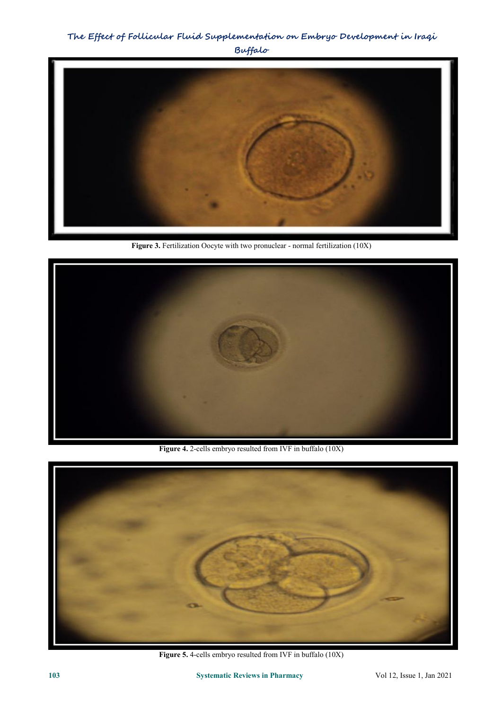

**Figure 3.** Fertilization Oocyte with two pronuclear - normal fertilization (10X)



Figure 4. 2-cells embryo resulted from IVF in buffalo (10X)



**Figure 5.** 4-cells embryo resulted from IVF in buffalo (10X)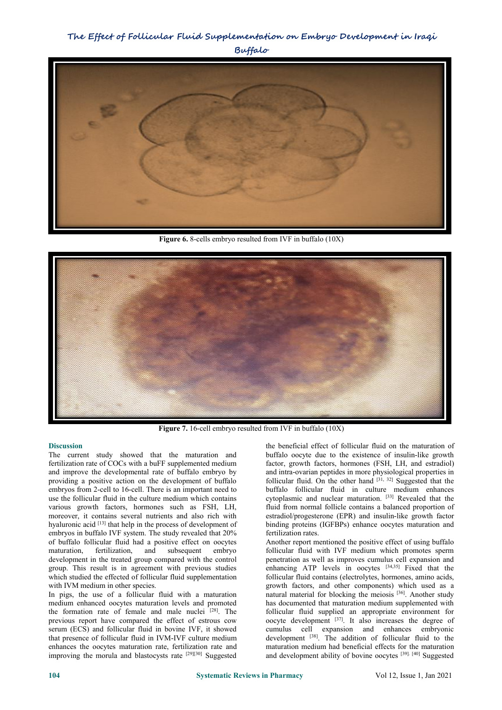

**Figure 6.** 8-cells embryo resulted from IVF in buffalo (10X)



**Figure 7.** 16-cell embryo resulted from IVF inbuffalo (10X)

## **Discussion**

The current study showed that the maturation and fertilization rate of COCs with a buFF supplemented medium and improve the developmental rate of buffalo embryo by providing a positive action on the development of buffalo embryos from 2-cell to 16-cell. There is an important need to use the follicular fluid in the culture medium which contains various growth factors, hormones such as FSH, LH, moreover, it contains several nutrients and also rich with hyaluronic acid [13] that help in the process of development of bindin embryos in buffalo IVF system. The study revealed that 20% of buffalo follicular fluid had a positive effect on oocytes maturation, fertilization, and subsequent embryo follicular fluid with IVF medium which promotes sperm development in the treated group compared with the control group. This result is in agreement with previous studies which studied the effected of follicular fluid supplementation with IVM medium in other species.

In pigs, the use of a follicular fluid with a maturation medium enhanced oocytes maturation levels and promoted the formation rate of female and male nuclei  $[28]$ . The previous report have compared the effect of estrous cow serum (ECS) and follicular fluid in bovine IVF, it showed that presence of follicular fluid in IVM-IVF culture medium enhances the oocytes maturation rate, fertilization rate and improving the morula and blastocysts rate <sup>[29][30]</sup> Suggested and developm

the beneficial effect of follicular fluid on the maturation of buffalo oocyte due to the existence of insulin-like growth factor, growth factors, hormones (FSH, LH, and estradiol) and intra-ovarian peptides in more physiological properties in follicular fluid. On the other hand  $[31, 32]$  Suggested that the buffalo follicular fluid in culture medium enhances cytoplasmic and nuclear maturation. [33] Revealed that the fluid from normal follicle contains a balanced proportion of estradiol/progesterone (EPR) and insulin-like growth factor binding proteins (IGFBPs) enhance oocytes maturation and fertilization rates.

[28]. The follicular fluid supplied an appropriate environment for Another report mentioned the positive effect of using buffalo penetration as well as improves cumulus cell expansion and enhancing ATP levels in oocytes <sup>[34,35]</sup> Fixed that the follicular fluid contains (electrolytes, hormones, amino acids, growth factors, and other components) which used as a natural material for blocking the meiosis [36]. Another study has documented that maturation medium supplemented with oocyte development [37]. It also increases the degree of cumulus cell expansion and enhances embryonic development [38]. The addition of follicular fluid to the maturation medium had beneficial effects for the maturation and development ability of bovine oocytes<sup>[39]. [40]</sup> Suggested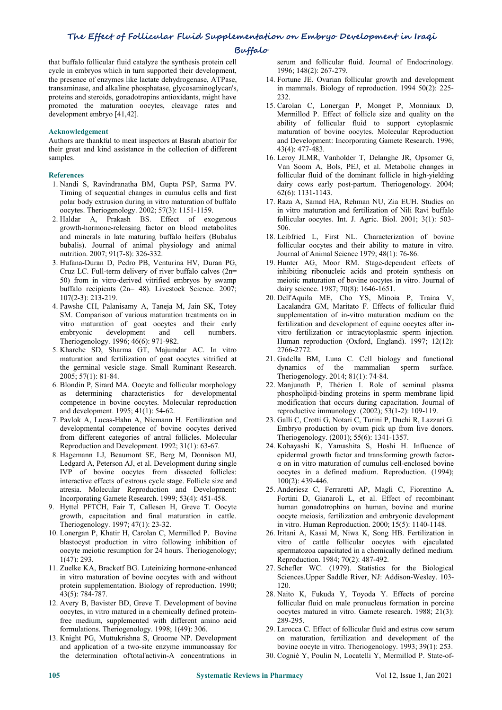#### **Buffalo**

that buffalo follicular fluid catalyze the synthesis protein cell cycle in embryos which in turn supported their development, the presence of enzymes like lactate dehydrogenase, ATPase, transaminase, and alkaline phosphatase, glycosaminoglycan's, proteins and steroids, gonadotropins antioxidants, might have promoted the maturation oocytes, cleavage rates and development embryo [41,42].

#### **Acknowledgement**

Authors are thankful to meat inspectors at Basrah abattoir for their great and kind assistance in the collection of different samples.

#### **References**

- 1. Nandi S, Ravindranatha BM, Gupta PSP, Sarma PV. Timing of sequential changes in cumulus cells and first polar body extrusion during in vitro maturation of buffalo oocytes. Theriogenology. 2002; 57(3): 1151-1159.
- 2. Haldar A, Prakash BS. Effect of exogenous growth‐hormone‐releasing factor on blood metabolites and minerals in late maturing buffalo heifers (Bubalus bubalis). Journal of animal physiology and animal nutrition. 2007; 91(7‐8): 326-332.
- 3. Hufana-Duran D, Pedro PB, Venturina HV, Duran PG, Cruz LC. Full-term delivery of river buffalo calves (2n= 50) from in vitro-derived vitrified embryos by swamp buffalo recipients (2n= 48). Livestock Science. 2007; 107(2-3): 213-219.
- 4. Pawshe CH, Palanisamy A, Taneja M, Jain SK, Totey SM. Comparison of various maturation treatments on in vitro maturation of goat oocytes and their early embryonic development and cell numbers. Theriogenology. 1996; 46(6): 971-982.
- 5. Kharche SD, Sharma GT, Majumdar AC. In vitro maturation and fertilization of goat oocytes vitrified at the germinal vesicle stage. Small Ruminant Research. 2005; 57(1): 81-84.
- 6. Blondin P, Sirard MA. Oocyte and follicular morphology as determining characteristics for developmental competence in bovine oocytes. Molecular reproduction and development. 1995; 41(1): 54-62.
- 7. Pavlok A, Lucas‐Hahn A, Niemann H. Fertilization and developmental competence of bovine oocytes derived from different categories of antral follicles. Molecular Reproduction and Development. 1992; 31(1): 63-67.
- 8. Hagemann LJ, Beaumont SE, Berg M, Donnison MJ, Ledgard A, Peterson AJ, et al. Development during single IVP of bovine oocytes from dissected follicles: interactive effects of estrous cycle stage. Follicle size and atresia. Molecular Reproduction and Development: Incorporating Gamete Research. 1999; 53(4): 451-458.
- 9. Hyttel PFTCH, Fair T, Callesen H, Greve T. Oocyte growth, capacitation and final maturation in cattle. Theriogenology. 1997; 47(1): 23-32.
- 10. Lonergan P, Khatir H, Carolan C, Mermillod P. Bovine blastocyst production in vitro following inhibition of oocyte meiotic resumption for 24 hours. Theriogenology; 1(47): 293.
- 11. Zuelke KA, Bracketf BG. Luteinizing hormone-enhanced in vitro maturation of bovine oocytes with and without protein supplementation. Biology of reproduction. 1990; 43(5): 784-787.
- 12. Avery B, Bavister BD, Greve T. Development of bovine oocytes, in vitro matured in a chemically defined proteinfree medium, supplemented with different amino acid formulations. Theriogenology. 1998; 1(49): 306.
- 13. Knight PG, Muttukrishna S, Groome NP. Development and application of a two-site enzyme immunoassay for the determination of'total'activin-A concentrations in

serum and follicular fluid. Journal of Endocrinology. 1996; 148(2): 267-279.

- 14. Fortune JE. Ovarian follicular growth and development in mammals. Biology of reproduction. 1994 50(2): 225- 232.
- 15. Carolan C, Lonergan P, Monget P, Monniaux D, Mermillod P. Effect of follicle size and quality on the ability of follicular fluid to support cytoplasmic maturation of bovine oocytes. Molecular Reproduction and Development: Incorporating Gamete Research. 1996; 43(4): 477-483.
- 16. Leroy JLMR, Vanholder T, Delanghe JR, Opsomer G, Van Soom A, Bols, PEJ, et al. Metabolic changes in follicular fluid of the dominant follicle in high-yielding dairy cows early post-partum. Theriogenology. 2004; 62(6): 1131-1143.
- 17. Raza A, Samad HA, Rehman NU, Zia EUH. Studies on in vitro maturation and fertilization of Nili Ravi buffalo follicular oocytes. Int. J. Agric. Biol. 2001; 3(1): 503- 506.
- 18. Leibfried L, First NL. Characterization of bovine follicular oocytes and their ability to mature in vitro. Journal of Animal Science 1979; 48(1): 76-86.
- 19. Hunter AG, Moor RM. Stage-dependent effects of inhibiting ribonucleic acids and protein synthesis on meiotic maturation of bovine oocytes in vitro. Journal of dairy science. 1987; 70(8): 1646-1651.
- 20. Dell'Aquila ME, Cho YS, Minoia P, Traina V, Lacalandra GM, Maritato F. Effects of follicular fluid supplementation of in-vitro maturation medium on the fertilization and development of equine oocytes after in vitro fertilization or intracytoplasmic sperm injection. Human reproduction (Oxford, England). 1997; 12(12): 2766-2772.
- 21. Gadella BM, Luna C. Cell biology and functional dynamics of the mammalian sperm surface. Theriogenology. 2014; 81(1): 74-84.
- 22. Manjunath P, Thérien I. Role of seminal plasma phospholipid-binding proteins in sperm membrane lipid modification that occurs during capacitation. Journal of reproductive immunology. (2002); 53(1-2): 109-119.
- 23. Galli C, Crotti G, Notari C, Turini P, Duchi R, Lazzari G. Embryo production by ovum pick up from live donors. Theriogenology. (2001); 55(6): 1341-1357.
- 24. Kobayashi K, Yamashita S, Hoshi H. Influence of epidermal growth factor and transforming growth factor α on in vitro maturation of cumulus cell-enclosed bovine oocytes in a defined medium. Reproduction. (1994); 100(2): 439-446.
- 25. Anderiesz C, Ferraretti AP, Magli C, Fiorentino A, Fortini D, Gianaroli L, et al. Effect of recombinant human gonadotrophins on human, bovine and murine oocyte meiosis, fertilization and embryonic development in vitro. Human Reproduction. 2000; 15(5): 1140-1148.
- 26. Iritani A, Kasai M, Niwa K, Song HB. Fertilization in vitro of cattle follicular oocytes with ejaculated spermatozoa capacitated in a chemically defined medium. Reproduction. 1984; 70(2): 487-492.
- 27. Schefler WC. (1979). Statistics for the Biological Sciences.Upper Saddle River, NJ: Addison-Wesley. 103- 120.
- 28. Naito K, Fukuda Y, Toyoda Y. Effects of porcine follicular fluid on male pronucleus formation in porcine oocytes matured in vitro. Gamete research. 1988; 21(3): 289-295.
- 29. Larocca C. Effect of follicular fluid and estrus cow serum on maturation, fertilization and development of the bovine oocyte in vitro. Theriogenology. 1993; 39(1): 253.
- 30. Cognié Y, Poulin N, Locatelli Y, Mermillod P. State-of-